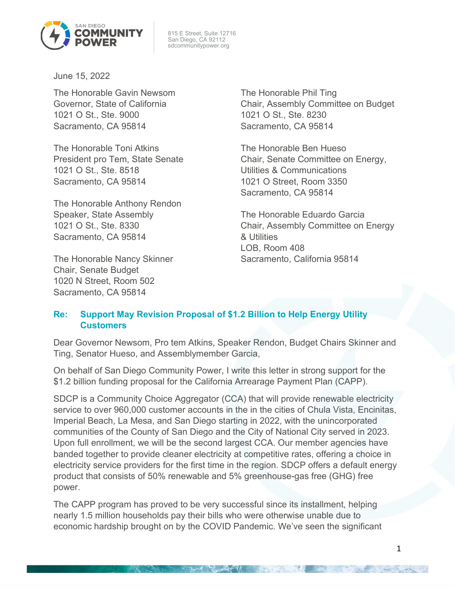

 815 E Street, Suite 12716 San Diego, CA 92112 sdcommunitypower.org

June 15, 2022

The Honorable Gavin Newsom Governor, State of California 1021 O St., Ste. 9000 Sacramento, CA 95814

The Honorable Toni Atkins President pro Tem, State Senate 1021 O St., Ste. 8518 Sacramento, CA 95814

The Honorable Anthony Rendon Speaker, State Assembly 1021 O St., Ste. 8330 Sacramento, CA 95814

The Honorable Nancy Skinner Chair, Senate Budget 1020 N Street, Room 502 Sacramento, CA 95814

The Honorable Phil Ting Chair, Assembly Committee on Budget 1021 O St., Ste. 8230 Sacramento, CA 95814

The Honorable Ben Hueso Chair, Senate Committee on Energy, Utilities & Communications 1021 O Street, Room 3350 Sacramento, CA 95814

The Honorable Eduardo Garcia Chair, Assembly Committee on Energy & Utilities LOB, Room 408 Sacramento, California 95814

## **Re: Support May Revision Proposal of \$1.2 Billion to Help Energy Utility Customers**

Dear Governor Newsom, Pro tem Atkins, Speaker Rendon, Budget Chairs Skinner and Ting, Senator Hueso, and Assemblymember Garcia,

On behalf of San Diego Community Power, I write this letter in strong support for the \$1.2 billion funding proposal for the California Arrearage Payment Plan (CAPP).

SDCP is a Community Choice Aggregator (CCA) that will provide renewable electricity service to over 960,000 customer accounts in the in the cities of Chula Vista, Encinitas, Imperial Beach, La Mesa, and San Diego starting in 2022, with the unincorporated communities of the County of San Diego and the City of National City served in 2023. Upon full enrollment, we will be the second largest CCA. Our member agencies have banded together to provide cleaner electricity at competitive rates, offering a choice in electricity service providers for the first time in the region. SDCP offers a default energy product that consists of 50% renewable and 5% greenhouse-gas free (GHG) free power.

The CAPP program has proved to be very successful since its installment, helping nearly 1.5 million households pay their bills who were otherwise unable due to economic hardship brought on by the COVID Pandemic. We've seen the significant

**Northern Commence**